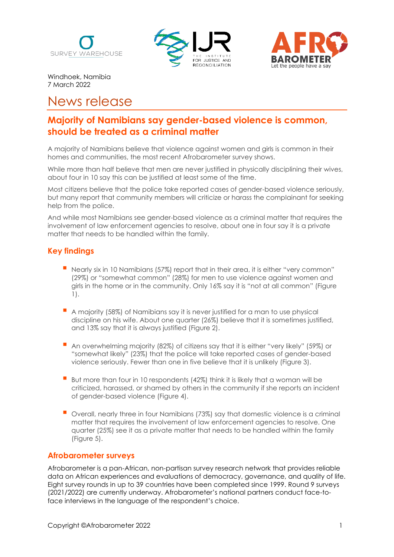





Windhoek, Namibia 7 March 2022

# News release

## **Majority of Namibians say gender-based violence is common, should be treated as a criminal matter**

A majority of Namibians believe that violence against women and girls is common in their homes and communities, the most recent Afrobarometer survey shows.

While more than half believe that men are never justified in physically disciplining their wives, about four in 10 say this can be justified at least some of the time.

Most citizens believe that the police take reported cases of gender-based violence seriously, but many report that community members will criticize or harass the complainant for seeking help from the police.

And while most Namibians see gender-based violence as a criminal matter that requires the involvement of law enforcement agencies to resolve, about one in four say it is a private matter that needs to be handled within the family.

## **Key findings**

- Nearly six in 10 Namibians (57%) report that in their area, it is either "very common" (29%) or "somewhat common" (28%) for men to use violence against women and girls in the home or in the community. Only 16% say it is "not at all common" (Figure 1).
- ▪A majority (58%) of Namibians say it is never justified for a man to use physical discipline on his wife. About one quarter (26%) believe that it is sometimes justified, and 13% say that it is always justified (Figure 2).
- ▪An overwhelming majority (82%) of citizens say that it is either "very likely" (59%) or "somewhat likely" (23%) that the police will take reported cases of gender-based violence seriously. Fewer than one in five believe that it is unlikely (Figure 3).
- But more than four in 10 respondents (42%) think it is likely that a woman will be criticized, harassed, or shamed by others in the community if she reports an incident of gender-based violence (Figure 4).
- ▪Overall, nearly three in four Namibians (73%) say that domestic violence is a criminal matter that requires the involvement of law enforcement agencies to resolve. One quarter (25%) see it as a private matter that needs to be handled within the family (Figure 5).

## **Afrobarometer surveys**

Afrobarometer is a pan-African, non-partisan survey research network that provides reliable data on African experiences and evaluations of democracy, governance, and quality of life. Eight survey rounds in up to 39 countries have been completed since 1999. Round 9 surveys (2021/2022) are currently underway. Afrobarometer's national partners conduct face-toface interviews in the language of the respondent's choice.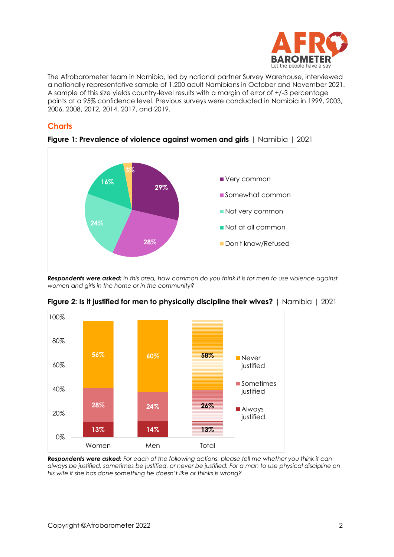

The Afrobarometer team in Namibia, led by national partner Survey Warehouse, interviewed a nationally representative sample of 1,200 adult Namibians in October and November 2021. A sample of this size yields country-level results with a margin of error of +/-3 percentage points at a 95% confidence level. Previous surveys were conducted in Namibia in 1999, 2003, 2006, 2008, 2012, 2014, 2017, and 2019.

## **Charts**



**Figure 1: Prevalence of violence against women and girls** | Namibia | 2021

*Respondents were asked: In this area, how common do you think it is for men to use violence against women and girls in the home or in the community?*



**Figure 2: Is it justified for men to physically discipline their wives?** | Namibia | 2021

*Respondents were asked: For each of the following actions, please tell me whether you think it can always be justified, sometimes be justified, or never be justified: For a man to use physical discipline on his wife if she has done something he doesn't like or thinks is wrong?*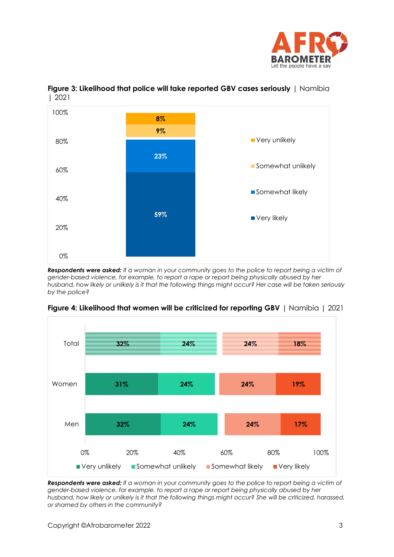



## **Figure 3: Likelihood that police will take reported GBV cases seriously** | Namibia | 2021

*Respondents were asked: If a woman in your community goes to the police to report being a victim of gender-based violence, for example, to report a rape or report being physically abused by her husband, how likely or unlikely is it that the following things might occur? Her case will be taken seriously by the police?*



#### **Figure 4: Likelihood that women will be criticized for reporting GBV** | Namibia | 2021

*Respondents were asked: If a woman in your community goes to the police to report being a victim of gender-based violence, for example, to report a rape or report being physically abused by her husband, how likely or unlikely is it that the following things might occur? She will be criticized, harassed, or shamed by others in the community?*